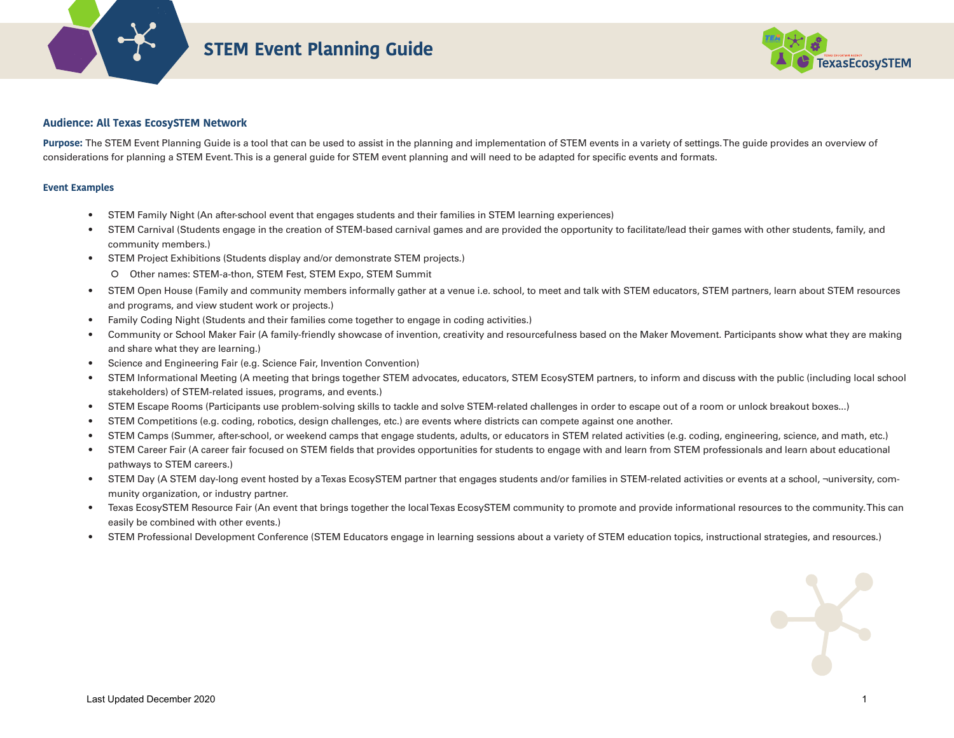

# **STEM Event Planning Guide**



### **Audience: All Texas EcosySTEM Network**

Purpose: The STEM Event Planning Guide is a tool that can be used to assist in the planning and implementation of STEM events in a variety of settings. The guide provides an overview of considerations for planning a STEM Event. This is a general guide for STEM event planning and will need to be adapted for specific events and formats.

#### **Event Examples**

- STEM Family Night (An after-school event that engages students and their families in STEM learning experiences)
- STEM Carnival (Students engage in the creation of STEM-based carnival games and are provided the opportunity to facilitate/lead their games with other students, family, and community members.)
- STEM Project Exhibitions (Students display and/or demonstrate STEM projects.)
	- O Other names: STEM-a-thon, STEM Fest, STEM Expo, STEM Summit
- STEM Open House (Family and community members informally gather at a venue i.e. school, to meet and talk with STEM educators, STEM partners, learn about STEM resources and programs, and view student work or projects.)
- Family Coding Night (Students and their families come together to engage in coding activities.)
- Community or School Maker Fair (A family-friendly showcase of invention, creativity and resourcefulness based on the Maker Movement. Participants show what they are making and share what they are learning.)
- Science and Engineering Fair (e.g. Science Fair, Invention Convention)
- STEM Informational Meeting (A meeting that brings together STEM advocates, educators, STEM EcosySTEM partners, to inform and discuss with the public (including local school stakeholders) of STEM-related issues, programs, and events.)
- STEM Escape Rooms (Participants use problem-solving skills to tackle and solve STEM-related challenges in order to escape out of a room or unlock breakout boxes...)
- STEM Competitions (e.g. coding, robotics, design challenges, etc.) are events where districts can compete against one another.
- STEM Camps (Summer, after-school, or weekend camps that engage students, adults, or educators in STEM related activities (e.g. coding, engineering, science, and math, etc.)
- STEM Career Fair (A career fair focused on STEM fields that provides opportunities for students to engage with and learn from STEM professionals and learn about educational pathways to STEM careers.)
- STEM Day (A STEM day-long event hosted by a Texas EcosySTEM partner that engages students and/or families in STEM-related activities or events at a school, ¬university, community organization, or industry partner.
- Texas EcosySTEM Resource Fair (An event that brings together the local Texas EcosySTEM community to promote and provide informational resources to the community. This can easily be combined with other events.)
- STEM Professional Development Conference (STEM Educators engage in learning sessions about a variety of STEM education topics, instructional strategies, and resources.)

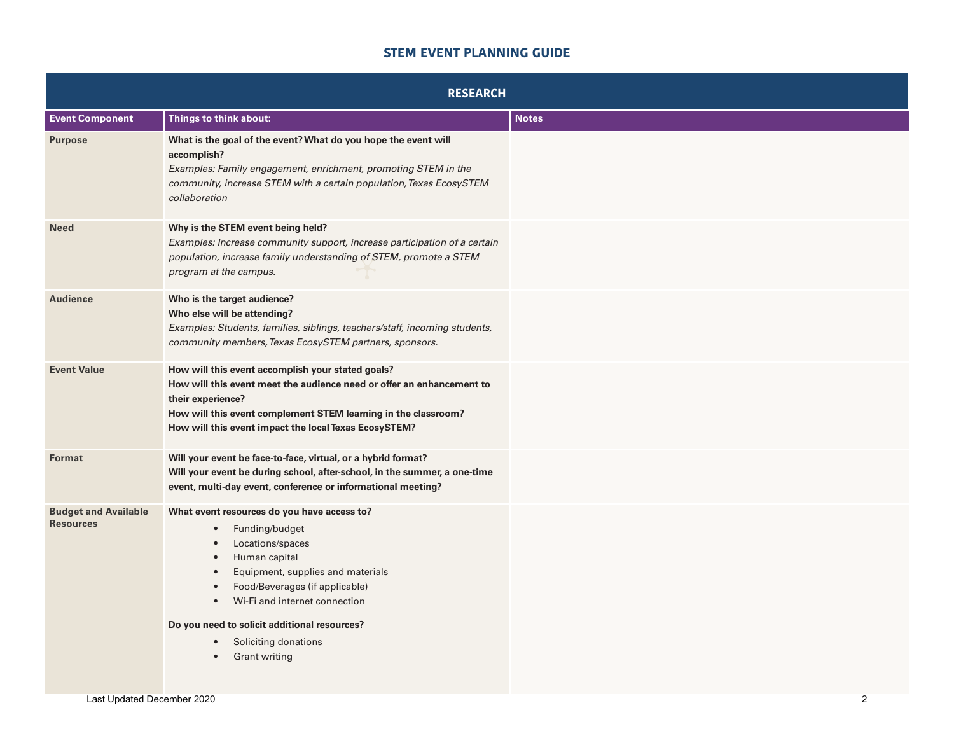## **STEM EVENT PLANNING GUIDE**

| <b>RESEARCH</b>                                 |                                                                                                                                                                                                                                                                                                                                                                                          |              |
|-------------------------------------------------|------------------------------------------------------------------------------------------------------------------------------------------------------------------------------------------------------------------------------------------------------------------------------------------------------------------------------------------------------------------------------------------|--------------|
| <b>Event Component</b>                          | Things to think about:                                                                                                                                                                                                                                                                                                                                                                   | <b>Notes</b> |
| <b>Purpose</b>                                  | What is the goal of the event? What do you hope the event will<br>accomplish?<br>Examples: Family engagement, enrichment, promoting STEM in the<br>community, increase STEM with a certain population, Texas EcosySTEM<br>collaboration                                                                                                                                                  |              |
| <b>Need</b>                                     | Why is the STEM event being held?<br>Examples: Increase community support, increase participation of a certain<br>population, increase family understanding of STEM, promote a STEM<br>program at the campus.                                                                                                                                                                            |              |
| <b>Audience</b>                                 | Who is the target audience?<br>Who else will be attending?<br>Examples: Students, families, siblings, teachers/staff, incoming students,<br>community members, Texas EcosySTEM partners, sponsors.                                                                                                                                                                                       |              |
| <b>Event Value</b>                              | How will this event accomplish your stated goals?<br>How will this event meet the audience need or offer an enhancement to<br>their experience?<br>How will this event complement STEM learning in the classroom?<br>How will this event impact the local Texas EcosySTEM?                                                                                                               |              |
| Format                                          | Will your event be face-to-face, virtual, or a hybrid format?<br>Will your event be during school, after-school, in the summer, a one-time<br>event, multi-day event, conference or informational meeting?                                                                                                                                                                               |              |
| <b>Budget and Available</b><br><b>Resources</b> | What event resources do you have access to?<br>Funding/budget<br>$\bullet$<br>Locations/spaces<br>Human capital<br>$\bullet$<br>Equipment, supplies and materials<br>$\bullet$<br>Food/Beverages (if applicable)<br>$\bullet$<br>Wi-Fi and internet connection<br>$\bullet$<br>Do you need to solicit additional resources?<br>Soliciting donations<br>$\bullet$<br><b>Grant writing</b> |              |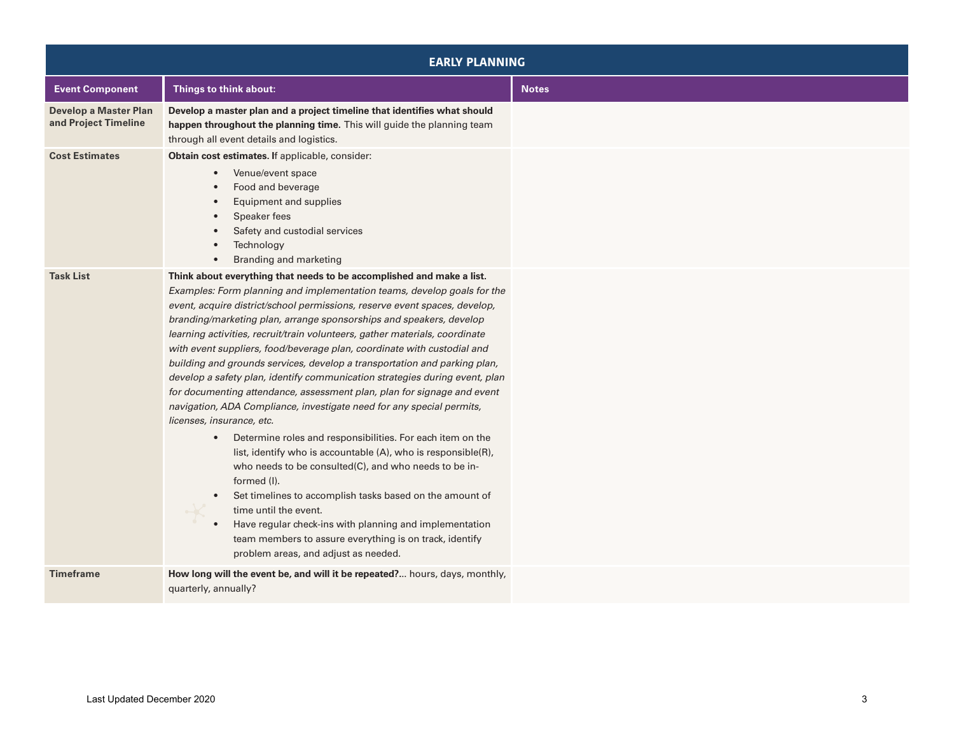| <b>EARLY PLANNING</b>                                |                                                                                                                                                                                                                                                                                                                                                                                                                                                                                                                                                                                                                                                                                                                                                                                                                                                                                                                                                                                                                                                                                                                                                                                                                                                                                     |              |
|------------------------------------------------------|-------------------------------------------------------------------------------------------------------------------------------------------------------------------------------------------------------------------------------------------------------------------------------------------------------------------------------------------------------------------------------------------------------------------------------------------------------------------------------------------------------------------------------------------------------------------------------------------------------------------------------------------------------------------------------------------------------------------------------------------------------------------------------------------------------------------------------------------------------------------------------------------------------------------------------------------------------------------------------------------------------------------------------------------------------------------------------------------------------------------------------------------------------------------------------------------------------------------------------------------------------------------------------------|--------------|
| <b>Event Component</b>                               | Things to think about:                                                                                                                                                                                                                                                                                                                                                                                                                                                                                                                                                                                                                                                                                                                                                                                                                                                                                                                                                                                                                                                                                                                                                                                                                                                              | <b>Notes</b> |
| <b>Develop a Master Plan</b><br>and Project Timeline | Develop a master plan and a project timeline that identifies what should<br>happen throughout the planning time. This will guide the planning team<br>through all event details and logistics.                                                                                                                                                                                                                                                                                                                                                                                                                                                                                                                                                                                                                                                                                                                                                                                                                                                                                                                                                                                                                                                                                      |              |
| <b>Cost Estimates</b>                                | Obtain cost estimates. If applicable, consider:<br>Venue/event space<br>$\bullet$<br>Food and beverage<br>Equipment and supplies<br>Speaker fees<br>Safety and custodial services<br>Technology<br>Branding and marketing                                                                                                                                                                                                                                                                                                                                                                                                                                                                                                                                                                                                                                                                                                                                                                                                                                                                                                                                                                                                                                                           |              |
| <b>Task List</b>                                     | Think about everything that needs to be accomplished and make a list.<br>Examples: Form planning and implementation teams, develop goals for the<br>event, acquire district/school permissions, reserve event spaces, develop,<br>branding/marketing plan, arrange sponsorships and speakers, develop<br>learning activities, recruit/train volunteers, gather materials, coordinate<br>with event suppliers, food/beverage plan, coordinate with custodial and<br>building and grounds services, develop a transportation and parking plan,<br>develop a safety plan, identify communication strategies during event, plan<br>for documenting attendance, assessment plan, plan for signage and event<br>navigation, ADA Compliance, investigate need for any special permits,<br>licenses, insurance, etc.<br>Determine roles and responsibilities. For each item on the<br>$\bullet$<br>list, identify who is accountable (A), who is responsible(R),<br>who needs to be consulted(C), and who needs to be in-<br>formed (I).<br>Set timelines to accomplish tasks based on the amount of<br>time until the event.<br>Have regular check-ins with planning and implementation<br>team members to assure everything is on track, identify<br>problem areas, and adjust as needed. |              |
| <b>Timeframe</b>                                     | How long will the event be, and will it be repeated? hours, days, monthly,<br>quarterly, annually?                                                                                                                                                                                                                                                                                                                                                                                                                                                                                                                                                                                                                                                                                                                                                                                                                                                                                                                                                                                                                                                                                                                                                                                  |              |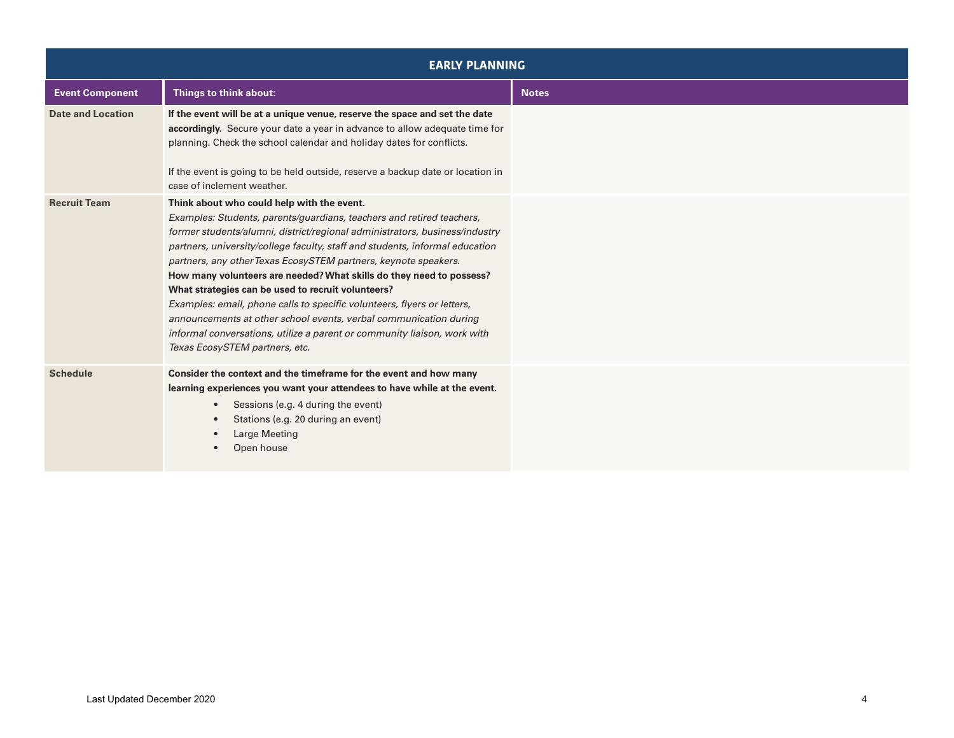| <b>EARLY PLANNING</b>    |                                                                                                                                                                                                                                                                                                                                                                                                                                                                                                                                                                                                                                                                                                                                                   |              |
|--------------------------|---------------------------------------------------------------------------------------------------------------------------------------------------------------------------------------------------------------------------------------------------------------------------------------------------------------------------------------------------------------------------------------------------------------------------------------------------------------------------------------------------------------------------------------------------------------------------------------------------------------------------------------------------------------------------------------------------------------------------------------------------|--------------|
| <b>Event Component</b>   | Things to think about:                                                                                                                                                                                                                                                                                                                                                                                                                                                                                                                                                                                                                                                                                                                            | <b>Notes</b> |
| <b>Date and Location</b> | If the event will be at a unique venue, reserve the space and set the date<br>accordingly. Secure your date a year in advance to allow adequate time for<br>planning. Check the school calendar and holiday dates for conflicts.<br>If the event is going to be held outside, reserve a backup date or location in<br>case of inclement weather.                                                                                                                                                                                                                                                                                                                                                                                                  |              |
| <b>Recruit Team</b>      | Think about who could help with the event.<br>Examples: Students, parents/guardians, teachers and retired teachers,<br>former students/alumni, district/regional administrators, business/industry<br>partners, university/college faculty, staff and students, informal education<br>partners, any other Texas EcosySTEM partners, keynote speakers.<br>How many volunteers are needed? What skills do they need to possess?<br>What strategies can be used to recruit volunteers?<br>Examples: email, phone calls to specific volunteers, flyers or letters,<br>announcements at other school events, verbal communication during<br>informal conversations, utilize a parent or community liaison, work with<br>Texas EcosySTEM partners, etc. |              |
| <b>Schedule</b>          | Consider the context and the timeframe for the event and how many<br>learning experiences you want your attendees to have while at the event.<br>Sessions (e.g. 4 during the event)<br>$\bullet$<br>Stations (e.g. 20 during an event)<br>Large Meeting<br>Open house                                                                                                                                                                                                                                                                                                                                                                                                                                                                             |              |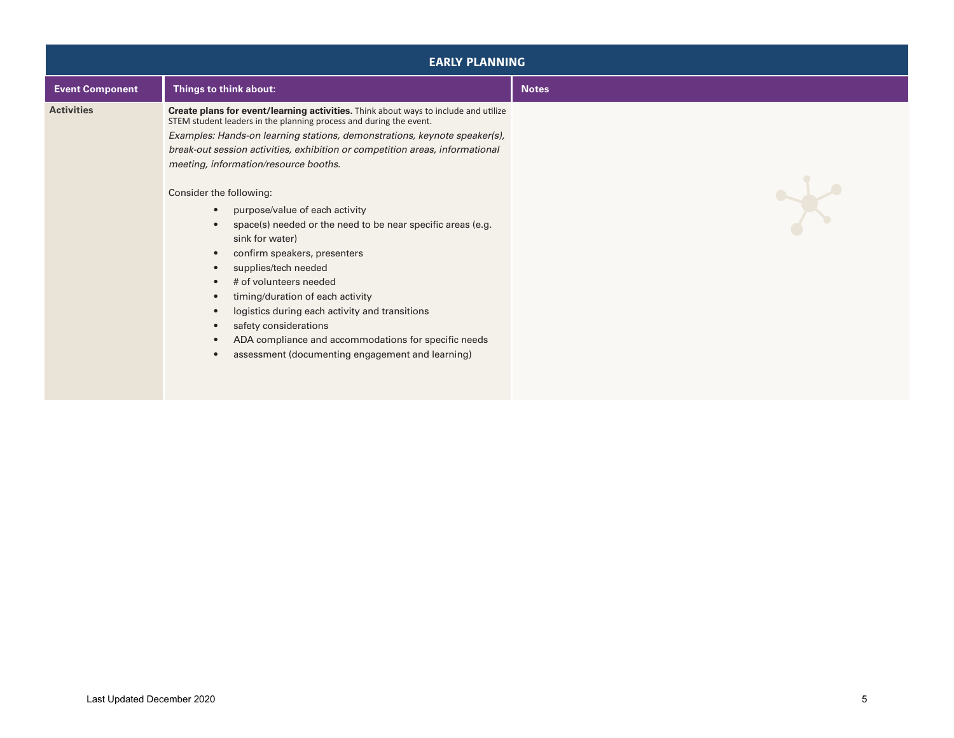| <b>EARLY PLANNING</b>  |                                                                                                                                                                                                                                                                                                                                                                                                                                                                                                                                                                                                                                                                                                                                                                                                                                                                                                                        |              |
|------------------------|------------------------------------------------------------------------------------------------------------------------------------------------------------------------------------------------------------------------------------------------------------------------------------------------------------------------------------------------------------------------------------------------------------------------------------------------------------------------------------------------------------------------------------------------------------------------------------------------------------------------------------------------------------------------------------------------------------------------------------------------------------------------------------------------------------------------------------------------------------------------------------------------------------------------|--------------|
| <b>Event Component</b> | Things to think about:                                                                                                                                                                                                                                                                                                                                                                                                                                                                                                                                                                                                                                                                                                                                                                                                                                                                                                 | <b>Notes</b> |
| <b>Activities</b>      | Create plans for event/learning activities. Think about ways to include and utilize<br>STEM student leaders in the planning process and during the event.<br>Examples: Hands-on learning stations, demonstrations, keynote speaker(s),<br>break-out session activities, exhibition or competition areas, informational<br>meeting, information/resource booths.<br>Consider the following:<br>purpose/value of each activity<br>$\bullet$<br>space(s) needed or the need to be near specific areas (e.g.<br>sink for water)<br>confirm speakers, presenters<br>$\bullet$<br>supplies/tech needed<br>$\bullet$<br># of volunteers needed<br>$\bullet$<br>timing/duration of each activity<br>$\bullet$<br>logistics during each activity and transitions<br>$\bullet$<br>safety considerations<br>$\bullet$<br>ADA compliance and accommodations for specific needs<br>assessment (documenting engagement and learning) | $\star$      |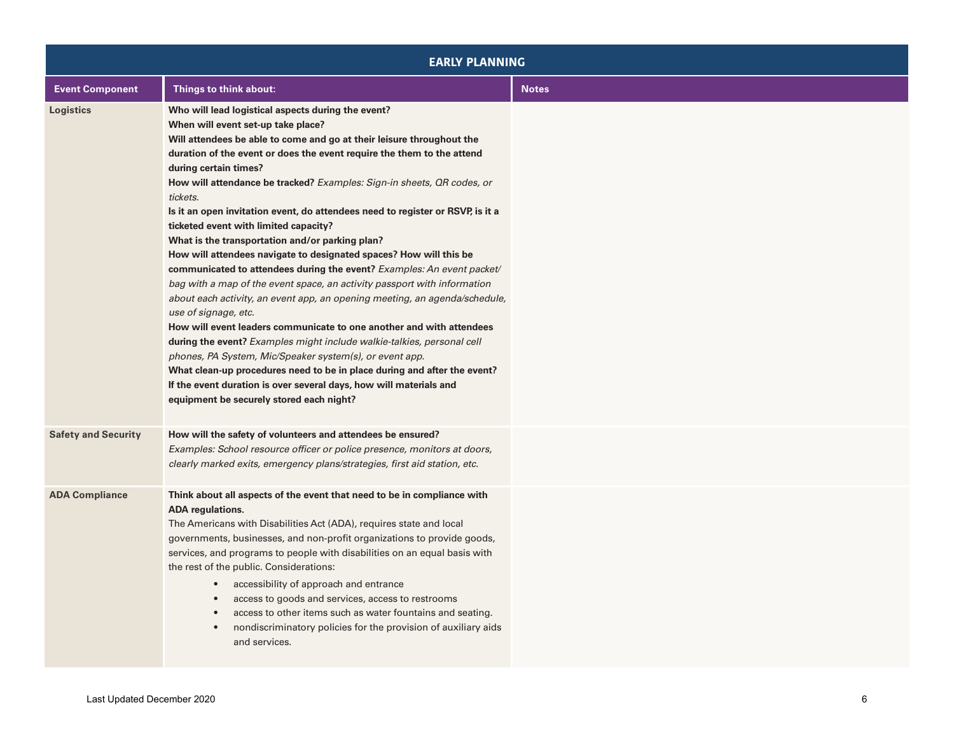| <b>EARLY PLANNING</b>      |                                                                                                                                                                                                                                                                                                                                                                                                                                                                                                                                                                                                                                                                                                                                                                                                                                                                                                                                                                                                                                                                                                                                                                                                                                                                                       |              |
|----------------------------|---------------------------------------------------------------------------------------------------------------------------------------------------------------------------------------------------------------------------------------------------------------------------------------------------------------------------------------------------------------------------------------------------------------------------------------------------------------------------------------------------------------------------------------------------------------------------------------------------------------------------------------------------------------------------------------------------------------------------------------------------------------------------------------------------------------------------------------------------------------------------------------------------------------------------------------------------------------------------------------------------------------------------------------------------------------------------------------------------------------------------------------------------------------------------------------------------------------------------------------------------------------------------------------|--------------|
| <b>Event Component</b>     | Things to think about:                                                                                                                                                                                                                                                                                                                                                                                                                                                                                                                                                                                                                                                                                                                                                                                                                                                                                                                                                                                                                                                                                                                                                                                                                                                                | <b>Notes</b> |
| Logistics                  | Who will lead logistical aspects during the event?<br>When will event set-up take place?<br>Will attendees be able to come and go at their leisure throughout the<br>duration of the event or does the event require the them to the attend<br>during certain times?<br>How will attendance be tracked? Examples: Sign-in sheets, QR codes, or<br>tickets.<br>Is it an open invitation event, do attendees need to register or RSVP, is it a<br>ticketed event with limited capacity?<br>What is the transportation and/or parking plan?<br>How will attendees navigate to designated spaces? How will this be<br>communicated to attendees during the event? Examples: An event packet/<br>bag with a map of the event space, an activity passport with information<br>about each activity, an event app, an opening meeting, an agenda/schedule,<br>use of signage, etc.<br>How will event leaders communicate to one another and with attendees<br>during the event? Examples might include walkie-talkies, personal cell<br>phones, PA System, Mic/Speaker system(s), or event app.<br>What clean-up procedures need to be in place during and after the event?<br>If the event duration is over several days, how will materials and<br>equipment be securely stored each night? |              |
| <b>Safety and Security</b> | How will the safety of volunteers and attendees be ensured?<br>Examples: School resource officer or police presence, monitors at doors,<br>clearly marked exits, emergency plans/strategies, first aid station, etc.                                                                                                                                                                                                                                                                                                                                                                                                                                                                                                                                                                                                                                                                                                                                                                                                                                                                                                                                                                                                                                                                  |              |
| <b>ADA Compliance</b>      | Think about all aspects of the event that need to be in compliance with<br><b>ADA</b> regulations.<br>The Americans with Disabilities Act (ADA), requires state and local<br>governments, businesses, and non-profit organizations to provide goods,<br>services, and programs to people with disabilities on an equal basis with<br>the rest of the public. Considerations:<br>accessibility of approach and entrance<br>$\bullet$<br>access to goods and services, access to restrooms<br>access to other items such as water fountains and seating.<br>nondiscriminatory policies for the provision of auxiliary aids<br>$\bullet$<br>and services.                                                                                                                                                                                                                                                                                                                                                                                                                                                                                                                                                                                                                                |              |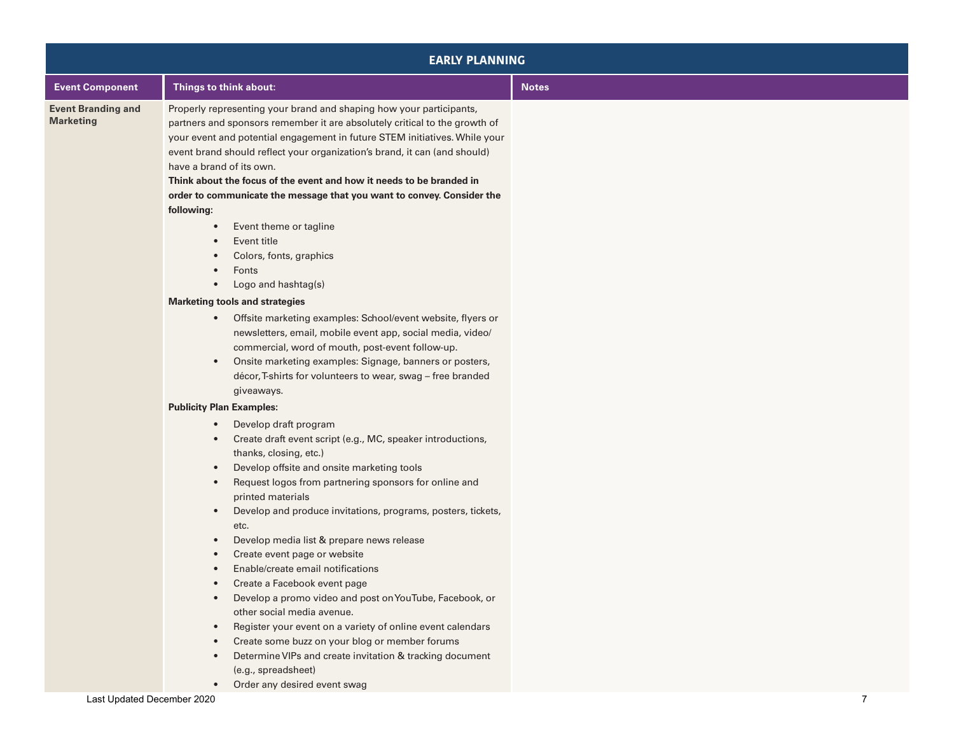| <b>EARLY PLANNING</b>                         |                                                                                                                                                                                                                                                                                                                                                                                                                                                                                                                                                                                                                                                                                                                                                                                                                                                                                                                                                                                                                       |              |
|-----------------------------------------------|-----------------------------------------------------------------------------------------------------------------------------------------------------------------------------------------------------------------------------------------------------------------------------------------------------------------------------------------------------------------------------------------------------------------------------------------------------------------------------------------------------------------------------------------------------------------------------------------------------------------------------------------------------------------------------------------------------------------------------------------------------------------------------------------------------------------------------------------------------------------------------------------------------------------------------------------------------------------------------------------------------------------------|--------------|
| <b>Event Component</b>                        | Things to think about:                                                                                                                                                                                                                                                                                                                                                                                                                                                                                                                                                                                                                                                                                                                                                                                                                                                                                                                                                                                                | <b>Notes</b> |
| <b>Event Branding and</b><br><b>Marketing</b> | Properly representing your brand and shaping how your participants,<br>partners and sponsors remember it are absolutely critical to the growth of<br>your event and potential engagement in future STEM initiatives. While your<br>event brand should reflect your organization's brand, it can (and should)<br>have a brand of its own.<br>Think about the focus of the event and how it needs to be branded in<br>order to communicate the message that you want to convey. Consider the<br>following:<br>Event theme or tagline<br>Event title<br>Colors, fonts, graphics<br>Fonts<br>Logo and hashtag(s)<br>$\bullet$<br><b>Marketing tools and strategies</b><br>Offsite marketing examples: School/event website, flyers or<br>$\bullet$<br>newsletters, email, mobile event app, social media, video/<br>commercial, word of mouth, post-event follow-up.<br>Onsite marketing examples: Signage, banners or posters,<br>$\bullet$<br>décor, T-shirts for volunteers to wear, swag - free branded<br>giveaways. |              |
|                                               | <b>Publicity Plan Examples:</b><br>Develop draft program<br>$\bullet$<br>Create draft event script (e.g., MC, speaker introductions,<br>$\bullet$<br>thanks, closing, etc.)<br>Develop offsite and onsite marketing tools<br>$\bullet$<br>Request logos from partnering sponsors for online and<br>$\bullet$<br>printed materials<br>Develop and produce invitations, programs, posters, tickets,<br>$\bullet$<br>etc.<br>Develop media list & prepare news release<br>$\bullet$<br>Create event page or website<br>$\bullet$<br>Enable/create email notifications<br>Create a Facebook event page<br>Develop a promo video and post on YouTube, Facebook, or<br>$\bullet$<br>other social media avenue.<br>Register your event on a variety of online event calendars<br>$\bullet$<br>Create some buzz on your blog or member forums<br>$\bullet$<br>Determine VIPs and create invitation & tracking document<br>$\bullet$<br>(e.g., spreadsheet)                                                                    |              |

• Order any desired event swag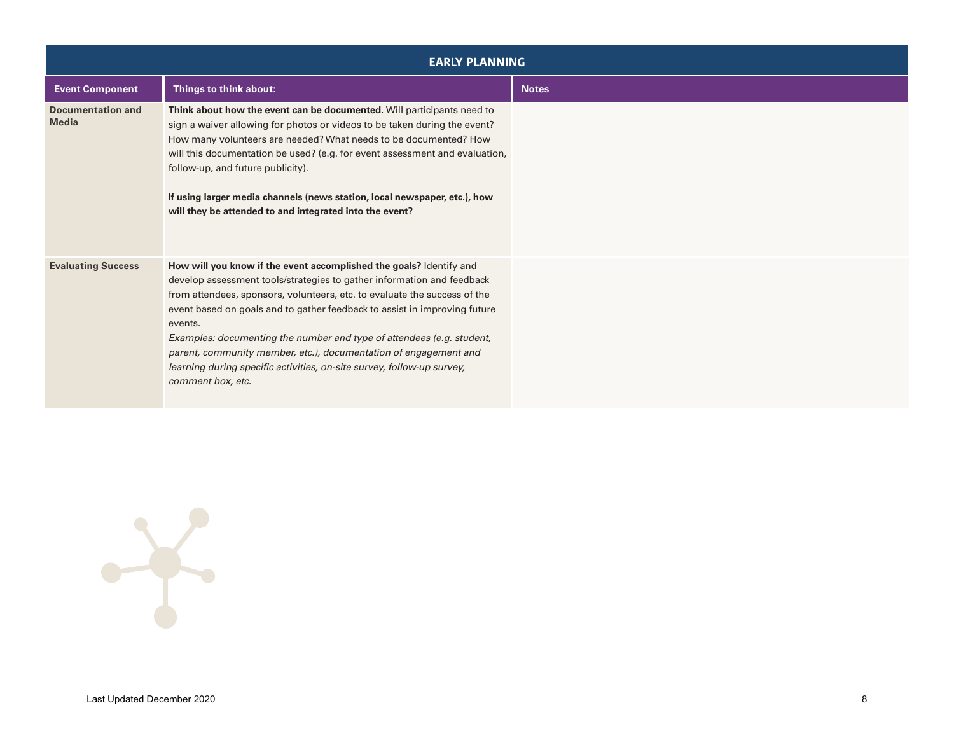| <b>EARLY PLANNING</b>                    |                                                                                                                                                                                                                                                                                                                                                                                                                                                                                                                                                                |              |
|------------------------------------------|----------------------------------------------------------------------------------------------------------------------------------------------------------------------------------------------------------------------------------------------------------------------------------------------------------------------------------------------------------------------------------------------------------------------------------------------------------------------------------------------------------------------------------------------------------------|--------------|
| <b>Event Component</b>                   | Things to think about:                                                                                                                                                                                                                                                                                                                                                                                                                                                                                                                                         | <b>Notes</b> |
| <b>Documentation and</b><br><b>Media</b> | Think about how the event can be documented. Will participants need to<br>sign a waiver allowing for photos or videos to be taken during the event?<br>How many volunteers are needed? What needs to be documented? How<br>will this documentation be used? (e.g. for event assessment and evaluation,<br>follow-up, and future publicity).<br>If using larger media channels (news station, local newspaper, etc.), how<br>will they be attended to and integrated into the event?                                                                            |              |
| <b>Evaluating Success</b>                | How will you know if the event accomplished the goals? Identify and<br>develop assessment tools/strategies to gather information and feedback<br>from attendees, sponsors, volunteers, etc. to evaluate the success of the<br>event based on goals and to gather feedback to assist in improving future<br>events.<br>Examples: documenting the number and type of attendees (e.g. student,<br>parent, community member, etc.), documentation of engagement and<br>learning during specific activities, on-site survey, follow-up survey,<br>comment box, etc. |              |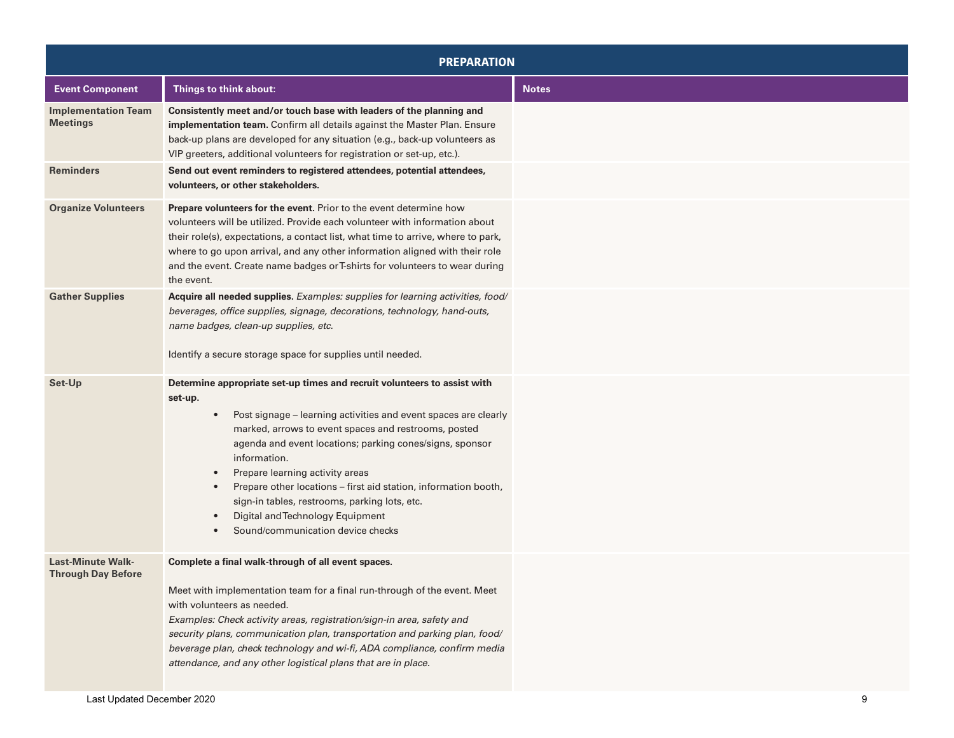| <b>PREPARATION</b>                                    |                                                                                                                                                                                                                                                                                                                                                                                                                                                                                                                                                                   |              |
|-------------------------------------------------------|-------------------------------------------------------------------------------------------------------------------------------------------------------------------------------------------------------------------------------------------------------------------------------------------------------------------------------------------------------------------------------------------------------------------------------------------------------------------------------------------------------------------------------------------------------------------|--------------|
| <b>Event Component</b>                                | Things to think about:                                                                                                                                                                                                                                                                                                                                                                                                                                                                                                                                            | <b>Notes</b> |
| <b>Implementation Team</b><br><b>Meetings</b>         | Consistently meet and/or touch base with leaders of the planning and<br>implementation team. Confirm all details against the Master Plan. Ensure<br>back-up plans are developed for any situation (e.g., back-up volunteers as<br>VIP greeters, additional volunteers for registration or set-up, etc.).                                                                                                                                                                                                                                                          |              |
| <b>Reminders</b>                                      | Send out event reminders to registered attendees, potential attendees,<br>volunteers, or other stakeholders.                                                                                                                                                                                                                                                                                                                                                                                                                                                      |              |
| <b>Organize Volunteers</b>                            | Prepare volunteers for the event. Prior to the event determine how<br>volunteers will be utilized. Provide each volunteer with information about<br>their role(s), expectations, a contact list, what time to arrive, where to park,<br>where to go upon arrival, and any other information aligned with their role<br>and the event. Create name badges or T-shirts for volunteers to wear during<br>the event.                                                                                                                                                  |              |
| <b>Gather Supplies</b>                                | Acquire all needed supplies. Examples: supplies for learning activities, food/<br>beverages, office supplies, signage, decorations, technology, hand-outs,<br>name badges, clean-up supplies, etc.<br>Identify a secure storage space for supplies until needed.                                                                                                                                                                                                                                                                                                  |              |
| Set-Up                                                | Determine appropriate set-up times and recruit volunteers to assist with<br>set-up.<br>Post signage - learning activities and event spaces are clearly<br>$\bullet$<br>marked, arrows to event spaces and restrooms, posted<br>agenda and event locations; parking cones/signs, sponsor<br>information.<br>Prepare learning activity areas<br>$\bullet$<br>Prepare other locations - first aid station, information booth,<br>sign-in tables, restrooms, parking lots, etc.<br>Digital and Technology Equipment<br>$\bullet$<br>Sound/communication device checks |              |
| <b>Last-Minute Walk-</b><br><b>Through Day Before</b> | Complete a final walk-through of all event spaces.<br>Meet with implementation team for a final run-through of the event. Meet<br>with volunteers as needed.<br>Examples: Check activity areas, registration/sign-in area, safety and<br>security plans, communication plan, transportation and parking plan, food/<br>beverage plan, check technology and wi-fi, ADA compliance, confirm media<br>attendance, and any other logistical plans that are in place.                                                                                                  |              |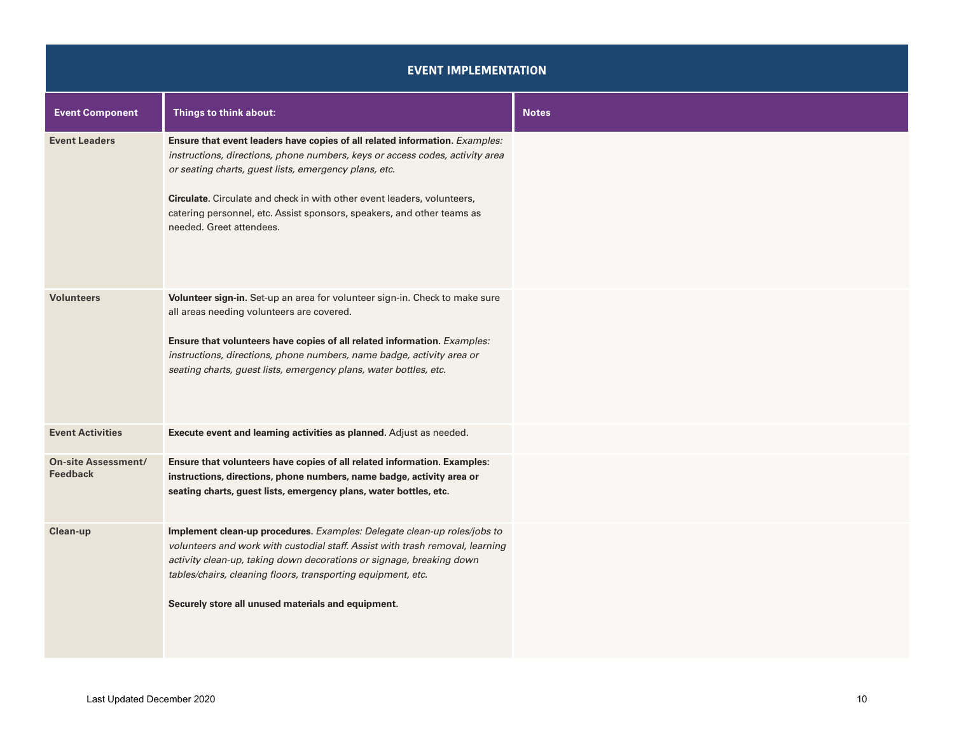### **EVENT IMPLEMENTATION**

| <b>Event Component</b>                 | Things to think about:                                                                                                                                                                                                                                                                                                                                                                                | <b>Notes</b> |
|----------------------------------------|-------------------------------------------------------------------------------------------------------------------------------------------------------------------------------------------------------------------------------------------------------------------------------------------------------------------------------------------------------------------------------------------------------|--------------|
| <b>Event Leaders</b>                   | Ensure that event leaders have copies of all related information. Examples:<br>instructions, directions, phone numbers, keys or access codes, activity area<br>or seating charts, guest lists, emergency plans, etc.<br>Circulate. Circulate and check in with other event leaders, volunteers,<br>catering personnel, etc. Assist sponsors, speakers, and other teams as<br>needed. Greet attendees. |              |
| <b>Volunteers</b>                      | Volunteer sign-in. Set-up an area for volunteer sign-in. Check to make sure<br>all areas needing volunteers are covered.<br>Ensure that volunteers have copies of all related information. Examples:<br>instructions, directions, phone numbers, name badge, activity area or<br>seating charts, guest lists, emergency plans, water bottles, etc.                                                    |              |
| <b>Event Activities</b>                | Execute event and learning activities as planned. Adjust as needed.                                                                                                                                                                                                                                                                                                                                   |              |
| <b>On-site Assessment/</b><br>Feedback | Ensure that volunteers have copies of all related information. Examples:<br>instructions, directions, phone numbers, name badge, activity area or<br>seating charts, guest lists, emergency plans, water bottles, etc.                                                                                                                                                                                |              |
| Clean-up                               | Implement clean-up procedures. Examples: Delegate clean-up roles/jobs to<br>volunteers and work with custodial staff. Assist with trash removal, learning<br>activity clean-up, taking down decorations or signage, breaking down<br>tables/chairs, cleaning floors, transporting equipment, etc.<br>Securely store all unused materials and equipment.                                               |              |